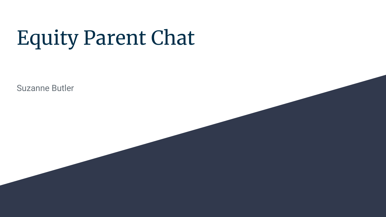# Equity Parent Chat

Suzanne Butler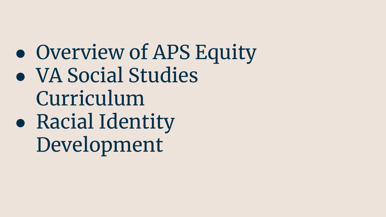• Overview of APS Equity ● VA Social Studies Curriculum ● Racial Identity Development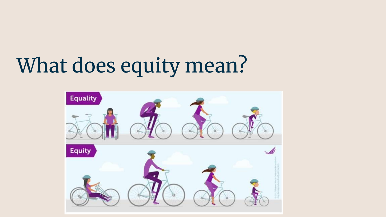# What does equity mean?

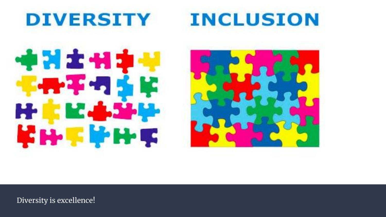







Diversity is excellence!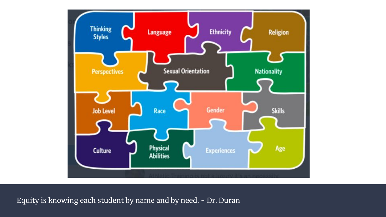

Equity is knowing each student by name and by need. - Dr. Duran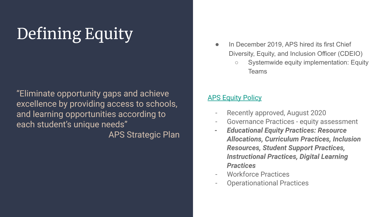## Defining Equity

"Eliminate opportunity gaps and achieve excellence by providing access to schools, and learning opportunities according to each student's unique needs" APS Strategic Plan

- In December 2019, APS hired its first Chief Diversity, Equity, and Inclusion Officer (CDEIO)
	- Systemwide equity implementation: Equity Teams

#### [APS Equity Policy](https://www.apsva.us/diversity-equity-inclusion/)

- Recently approved, August 2020
- Governance Practices equity assessment
- *- Educational Equity Practices: Resource Allocations, Curriculum Practices, Inclusion Resources, Student Support Practices, Instructional Practices, Digital Learning Practices*
- Workforce Practices
- Operationational Practices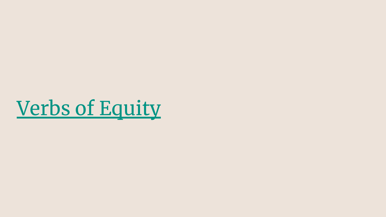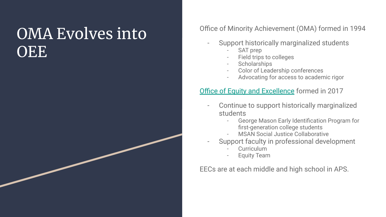### OMA Evolves into **OEE**

#### Office of Minority Achievement (OMA) formed in 1994

- Support historically marginalized students
	- SAT prep
	- Field trips to colleges
	- **Scholarships**
	- Color of Leadership conferences
	- Advocating for access to academic rigor

#### **[Office of Equity and Excellence](https://www.apsva.us/equity-and-excellence/) formed in 2017**

- Continue to support historically marginalized students
	- George Mason Early Identification Program for first-generation college students
	- MSAN Social Justice Collaborative
- Support faculty in professional development
	- Curriculum
	- **Equity Team**

EECs are at each middle and high school in APS.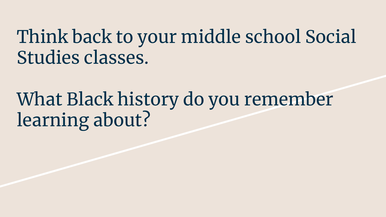## Think back to your middle school Social Studies classes.

## What Black history do you remember learning about?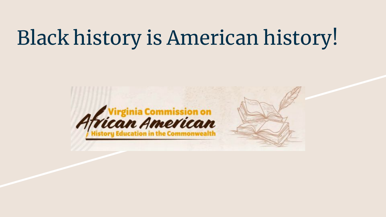## Black history is American history!

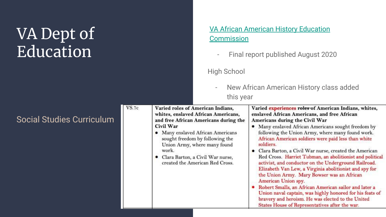### VA Dept of Education

#### [VA African American History Education](https://www.governor.virginia.gov/media/governorvirginiagov/secretary-of-education/pdf/AAHEC-Report-Final_version2.pdf) **[Commission](https://www.governor.virginia.gov/media/governorvirginiagov/secretary-of-education/pdf/AAHEC-Report-Final_version2.pdf)**

- Final report published August 2020

High School

- New African American History class added this year

| <b>Social Studies Curriculum</b> | VS.7c | Varied roles of American Indians,<br>whites, enslaved African Americans,<br>and free African Americans during the<br>Civil War<br>• Many enslaved African Americans<br>sought freedom by following the<br>Union Army, where many found<br>work.<br>• Clara Barton, a Civil War nurse,<br>created the American Red Cross. | Varied experiences roles of American Indians, whites,<br>enslaved African Americans, and free African<br>Americans during the Civil War<br>• Many enslaved African Americans sought freedom by<br>following the Union Army, where many found work.<br>African American soldiers were paid less than white<br>soldiers.<br>• Clara Barton, a Civil War nurse, created the American<br>Red Cross. Harriet Tubman, an abolitionist and political<br>activist, and conductor on the Underground Railroad.<br>Elizabeth Van Lew, a Virginia abolitionist and spy for<br>the Union Army. Mary Bowser was an African<br>American Union spy.<br>• Robert Smalls, an African American sailor and later a<br>Union naval captain, was highly honored for his feats of<br>bravery and heroism. He was elected to the United<br>States House of Representatives after the war. |
|----------------------------------|-------|--------------------------------------------------------------------------------------------------------------------------------------------------------------------------------------------------------------------------------------------------------------------------------------------------------------------------|--------------------------------------------------------------------------------------------------------------------------------------------------------------------------------------------------------------------------------------------------------------------------------------------------------------------------------------------------------------------------------------------------------------------------------------------------------------------------------------------------------------------------------------------------------------------------------------------------------------------------------------------------------------------------------------------------------------------------------------------------------------------------------------------------------------------------------------------------------------------|
|----------------------------------|-------|--------------------------------------------------------------------------------------------------------------------------------------------------------------------------------------------------------------------------------------------------------------------------------------------------------------------------|--------------------------------------------------------------------------------------------------------------------------------------------------------------------------------------------------------------------------------------------------------------------------------------------------------------------------------------------------------------------------------------------------------------------------------------------------------------------------------------------------------------------------------------------------------------------------------------------------------------------------------------------------------------------------------------------------------------------------------------------------------------------------------------------------------------------------------------------------------------------|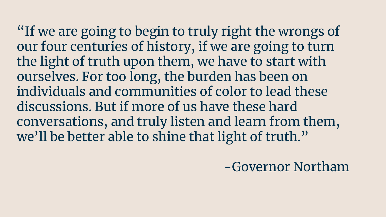"If we are going to begin to truly right the wrongs of our four centuries of history, if we are going to turn the light of truth upon them, we have to start with ourselves. For too long, the burden has been on individuals and communities of color to lead these discussions. But if more of us have these hard conversations, and truly listen and learn from them, we'll be better able to shine that light of truth."

-Governor Northam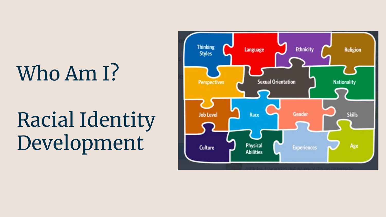# Who Am I?

# Racial Identity Development

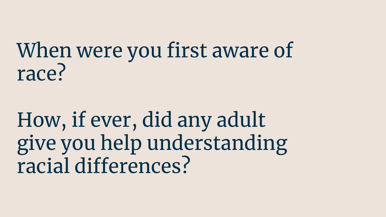## When were you first aware of race?

## How, if ever, did any adult give you help understanding racial differences?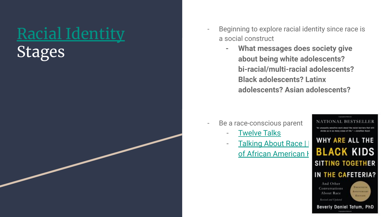## [Racial Identity](https://ready.web.unc.edu/wp-content/uploads/sites/16627/2019/01/SUMMARY-OF-RACIAL-AND-ETHNIC-IDENTITY-MODELS.pdf)

Stages

- Beginning to explore racial identity since race is a social construct
	- **- What messages does society give about being white adolescents? bi-racial/multi-racial adolescents? Black adolescents? Latinx adolescents? Asian adolescents?**

- Be a race-conscious parent
	- **[Twelve Talks](https://www.twelvetalks.com/identity)**
	- Talking About Race | WHY ARE ALL THE<br>
	of African American | **BLACK KIDS** of African American **H**

**NATIONAL RESTSE** the sensitive work chose the rocial barriers that ivide us in so mony great of life." - Jonathan Kaz **SITTING TOGETHER** IN THE CAFETERIA?